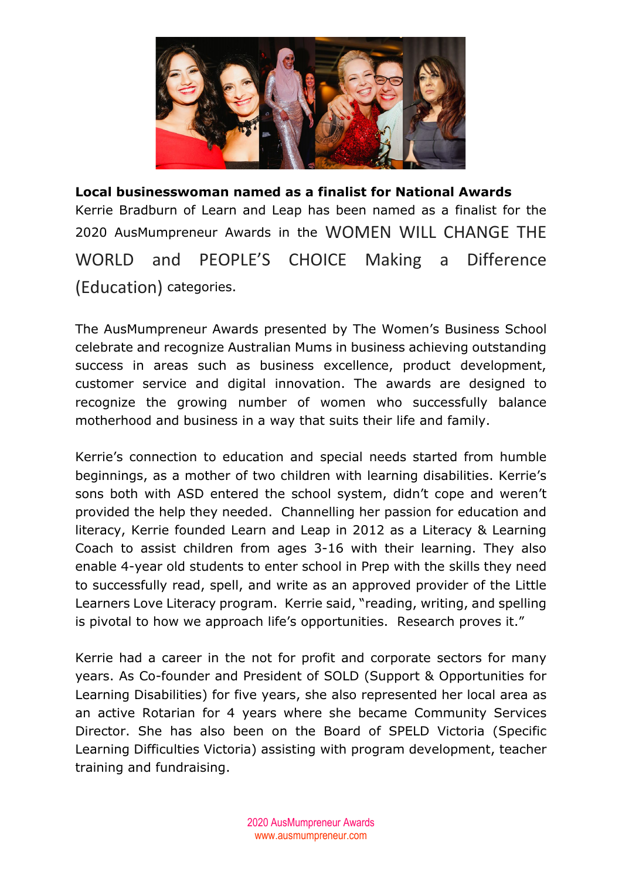

**Local businesswoman named as a finalist for National Awards** Kerrie Bradburn of Learn and Leap has been named as a finalist for the <sup>2020</sup> AusMumpreneur Awards in the WOMEN WILL CHANGE THE WORLD and PEOPLE'S CHOICE Making a Difference (Education) categories.

The AusMumpreneur Awards presented by The Women's Business School celebrate and recognize Australian Mums in business achieving outstanding success in areas such as business excellence, product development, customer service and digital innovation. The awards are designed to recognize the growing number of women who successfully balance motherhood and business in a way that suits their life and family.

Kerrie's connection to education and special needs started from humble beginnings, as a mother of two children with learning disabilities. Kerrie's sons both with ASD entered the school system, didn't cope and weren't provided the help they needed. Channelling her passion for education and literacy, Kerrie founded Learn and Leap in 2012 as a Literacy & Learning Coach to assist children from ages 3-16 with their learning. They also enable 4-year old students to enter school in Prep with the skills they need to successfully read, spell, and write as an approved provider of the Little Learners Love Literacy program. Kerrie said, "reading, writing, and spelling is pivotal to how we approach life's opportunities. Research proves it."

Kerrie had a career in the not for profit and corporate sectors for many years. As Co-founder and President of SOLD (Support & Opportunities for Learning Disabilities) for five years, she also represented her local area as an active Rotarian for 4 years where she became Community Services Director. She has also been on the Board of SPELD Victoria (Specific Learning Difficulties Victoria) assisting with program development, teacher training and fundraising.